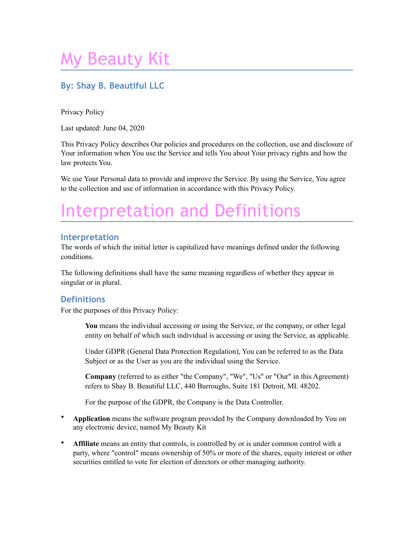## My Beauty Kit

## **By: Shay B. Beautiful LLC**

Privacy Policy

Last updated: June 04, 2020

This Privacy Policy describes Our policies and procedures on the collection, use and disclosure of Your information when You use the Service and tells You about Your privacy rights and how the law protects You.

We use Your Personal data to provide and improve the Service. By using the Service, You agree to the collection and use of information in accordance with this Privacy Policy.

## Interpretation and Definitions

### **Interpretation**

The words of which the initial letter is capitalized have meanings defined under the following conditions.

The following definitions shall have the same meaning regardless of whether they appear in singular or in plural.

## **Definitions**

For the purposes of this Privacy Policy:

**You** means the individual accessing or using the Service, or the company, or other legal entity on behalf of which such individual is accessing or using the Service, as applicable.

Under GDPR (General Data Protection Regulation), You can be referred to as the Data Subject or as the User as you are the individual using the Service.

**Company** (referred to as either "the Company", "We", "Us" or "Our" in this Agreement) refers to Shay B. Beautiful LLC, 440 Burroughs, Suite 181 Detroit, MI. 48202.

For the purpose of the GDPR, the Company is the Data Controller.

- **Application** means the software program provided by the Company downloaded by You on any electronic device, named My Beauty Kit
- **Affiliate** means an entity that controls, is controlled by or is under common control with a party, where "control" means ownership of 50% or more of the shares, equity interest or other securities entitled to vote for election of directors or other managing authority.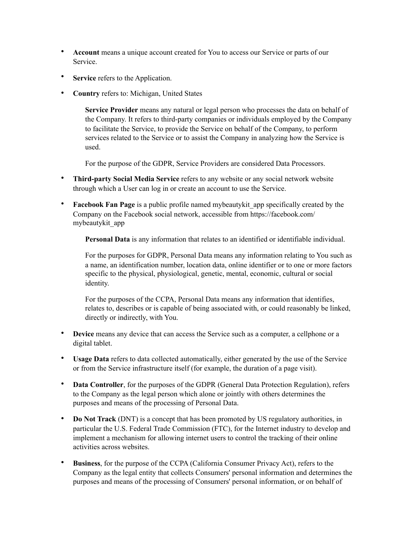- **Account** means a unique account created for You to access our Service or parts of our Service.
- **Service** refers to the Application.
- **Country** refers to: Michigan, United States

**Service Provider** means any natural or legal person who processes the data on behalf of the Company. It refers to third-party companies or individuals employed by the Company to facilitate the Service, to provide the Service on behalf of the Company, to perform services related to the Service or to assist the Company in analyzing how the Service is used.

For the purpose of the GDPR, Service Providers are considered Data Processors.

- **Third-party Social Media Service** refers to any website or any social network website through which a User can log in or create an account to use the Service.
- **Facebook Fan Page** is a public profile named mybeautykit app specifically created by the Company on the Facebook social network, accessible from https://facebook.com/ mybeautykit\_app

**Personal Data** is any information that relates to an identified or identifiable individual.

For the purposes for GDPR, Personal Data means any information relating to You such as a name, an identification number, location data, online identifier or to one or more factors specific to the physical, physiological, genetic, mental, economic, cultural or social identity.

For the purposes of the CCPA, Personal Data means any information that identifies, relates to, describes or is capable of being associated with, or could reasonably be linked, directly or indirectly, with You.

- **Device** means any device that can access the Service such as a computer, a cellphone or a digital tablet.
- **Usage Data** refers to data collected automatically, either generated by the use of the Service or from the Service infrastructure itself (for example, the duration of a page visit).
- **Data Controller**, for the purposes of the GDPR (General Data Protection Regulation), refers to the Company as the legal person which alone or jointly with others determines the purposes and means of the processing of Personal Data.
- **Do Not Track** (DNT) is a concept that has been promoted by US regulatory authorities, in particular the U.S. Federal Trade Commission (FTC), for the Internet industry to develop and implement a mechanism for allowing internet users to control the tracking of their online activities across websites.
- **Business**, for the purpose of the CCPA (California Consumer Privacy Act), refers to the Company as the legal entity that collects Consumers' personal information and determines the purposes and means of the processing of Consumers' personal information, or on behalf of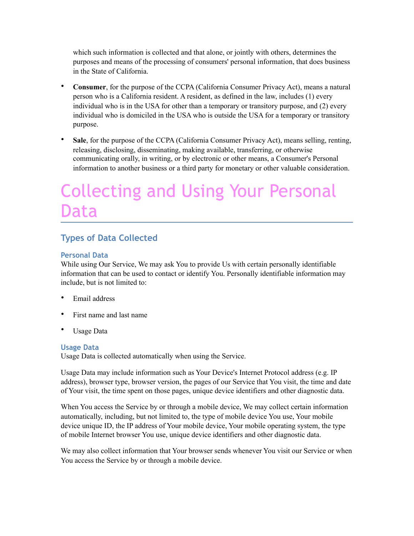which such information is collected and that alone, or jointly with others, determines the purposes and means of the processing of consumers' personal information, that does business in the State of California.

- **Consumer**, for the purpose of the CCPA (California Consumer Privacy Act), means a natural person who is a California resident. A resident, as defined in the law, includes (1) every individual who is in the USA for other than a temporary or transitory purpose, and (2) every individual who is domiciled in the USA who is outside the USA for a temporary or transitory purpose.
- **Sale**, for the purpose of the CCPA (California Consumer Privacy Act), means selling, renting, releasing, disclosing, disseminating, making available, transferring, or otherwise communicating orally, in writing, or by electronic or other means, a Consumer's Personal information to another business or a third party for monetary or other valuable consideration.

## Collecting and Using Your Personal Data

## **Types of Data Collected**

#### **Personal Data**

While using Our Service, We may ask You to provide Us with certain personally identifiable information that can be used to contact or identify You. Personally identifiable information may include, but is not limited to:

- Email address
- First name and last name
- Usage Data

#### **Usage Data**

Usage Data is collected automatically when using the Service.

Usage Data may include information such as Your Device's Internet Protocol address (e.g. IP address), browser type, browser version, the pages of our Service that You visit, the time and date of Your visit, the time spent on those pages, unique device identifiers and other diagnostic data.

When You access the Service by or through a mobile device, We may collect certain information automatically, including, but not limited to, the type of mobile device You use, Your mobile device unique ID, the IP address of Your mobile device, Your mobile operating system, the type of mobile Internet browser You use, unique device identifiers and other diagnostic data.

We may also collect information that Your browser sends whenever You visit our Service or when You access the Service by or through a mobile device.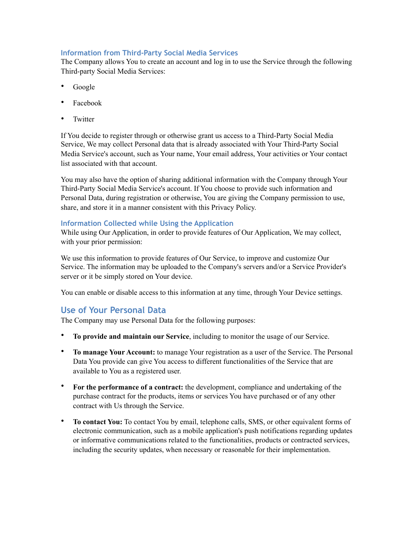#### **Information from Third-Party Social Media Services**

The Company allows You to create an account and log in to use the Service through the following Third-party Social Media Services:

- Google
- Facebook
- **Twitter**

If You decide to register through or otherwise grant us access to a Third-Party Social Media Service, We may collect Personal data that is already associated with Your Third-Party Social Media Service's account, such as Your name, Your email address, Your activities or Your contact list associated with that account.

You may also have the option of sharing additional information with the Company through Your Third-Party Social Media Service's account. If You choose to provide such information and Personal Data, during registration or otherwise, You are giving the Company permission to use, share, and store it in a manner consistent with this Privacy Policy.

#### **Information Collected while Using the Application**

While using Our Application, in order to provide features of Our Application, We may collect, with your prior permission:

We use this information to provide features of Our Service, to improve and customize Our Service. The information may be uploaded to the Company's servers and/or a Service Provider's server or it be simply stored on Your device.

You can enable or disable access to this information at any time, through Your Device settings.

## **Use of Your Personal Data**

The Company may use Personal Data for the following purposes:

- **To provide and maintain our Service**, including to monitor the usage of our Service.
- **To manage Your Account:** to manage Your registration as a user of the Service. The Personal Data You provide can give You access to different functionalities of the Service that are available to You as a registered user.
- **For the performance of a contract:** the development, compliance and undertaking of the purchase contract for the products, items or services You have purchased or of any other contract with Us through the Service.
- **To contact You:** To contact You by email, telephone calls, SMS, or other equivalent forms of electronic communication, such as a mobile application's push notifications regarding updates or informative communications related to the functionalities, products or contracted services, including the security updates, when necessary or reasonable for their implementation.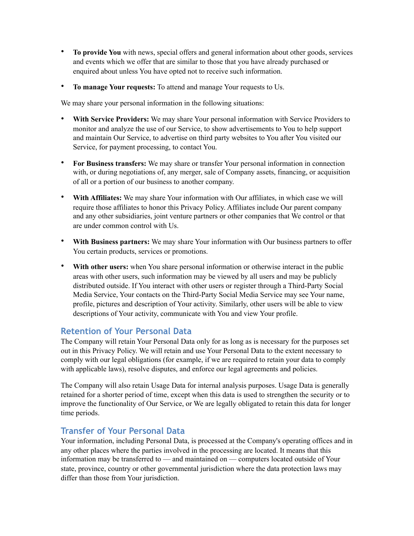- **To provide You** with news, special offers and general information about other goods, services and events which we offer that are similar to those that you have already purchased or enquired about unless You have opted not to receive such information.
- **To manage Your requests:** To attend and manage Your requests to Us.

We may share your personal information in the following situations:

- **With Service Providers:** We may share Your personal information with Service Providers to monitor and analyze the use of our Service, to show advertisements to You to help support and maintain Our Service, to advertise on third party websites to You after You visited our Service, for payment processing, to contact You.
- **For Business transfers:** We may share or transfer Your personal information in connection with, or during negotiations of, any merger, sale of Company assets, financing, or acquisition of all or a portion of our business to another company.
- **With Affiliates:** We may share Your information with Our affiliates, in which case we will require those affiliates to honor this Privacy Policy. Affiliates include Our parent company and any other subsidiaries, joint venture partners or other companies that We control or that are under common control with Us.
- **With Business partners:** We may share Your information with Our business partners to offer You certain products, services or promotions.
- **With other users:** when You share personal information or otherwise interact in the public areas with other users, such information may be viewed by all users and may be publicly distributed outside. If You interact with other users or register through a Third-Party Social Media Service, Your contacts on the Third-Party Social Media Service may see Your name, profile, pictures and description of Your activity. Similarly, other users will be able to view descriptions of Your activity, communicate with You and view Your profile.

### **Retention of Your Personal Data**

The Company will retain Your Personal Data only for as long as is necessary for the purposes set out in this Privacy Policy. We will retain and use Your Personal Data to the extent necessary to comply with our legal obligations (for example, if we are required to retain your data to comply with applicable laws), resolve disputes, and enforce our legal agreements and policies.

The Company will also retain Usage Data for internal analysis purposes. Usage Data is generally retained for a shorter period of time, except when this data is used to strengthen the security or to improve the functionality of Our Service, or We are legally obligated to retain this data for longer time periods.

### **Transfer of Your Personal Data**

Your information, including Personal Data, is processed at the Company's operating offices and in any other places where the parties involved in the processing are located. It means that this information may be transferred to — and maintained on — computers located outside of Your state, province, country or other governmental jurisdiction where the data protection laws may differ than those from Your jurisdiction.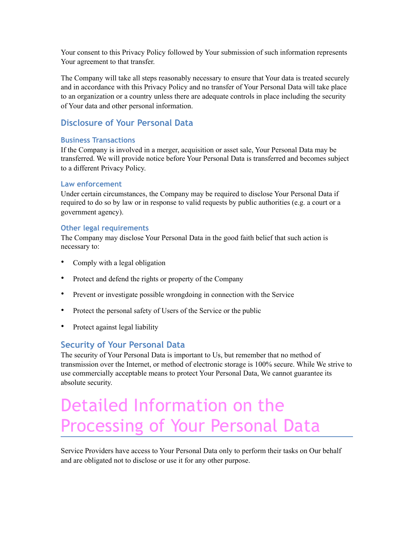Your consent to this Privacy Policy followed by Your submission of such information represents Your agreement to that transfer.

The Company will take all steps reasonably necessary to ensure that Your data is treated securely and in accordance with this Privacy Policy and no transfer of Your Personal Data will take place to an organization or a country unless there are adequate controls in place including the security of Your data and other personal information.

## **Disclosure of Your Personal Data**

#### **Business Transactions**

If the Company is involved in a merger, acquisition or asset sale, Your Personal Data may be transferred. We will provide notice before Your Personal Data is transferred and becomes subject to a different Privacy Policy.

#### **Law enforcement**

Under certain circumstances, the Company may be required to disclose Your Personal Data if required to do so by law or in response to valid requests by public authorities (e.g. a court or a government agency).

### **Other legal requirements**

The Company may disclose Your Personal Data in the good faith belief that such action is necessary to:

- Comply with a legal obligation
- Protect and defend the rights or property of the Company
- Prevent or investigate possible wrongdoing in connection with the Service
- Protect the personal safety of Users of the Service or the public
- Protect against legal liability

## **Security of Your Personal Data**

The security of Your Personal Data is important to Us, but remember that no method of transmission over the Internet, or method of electronic storage is 100% secure. While We strive to use commercially acceptable means to protect Your Personal Data, We cannot guarantee its absolute security.

## Detailed Information on the Processing of Your Personal Data

Service Providers have access to Your Personal Data only to perform their tasks on Our behalf and are obligated not to disclose or use it for any other purpose.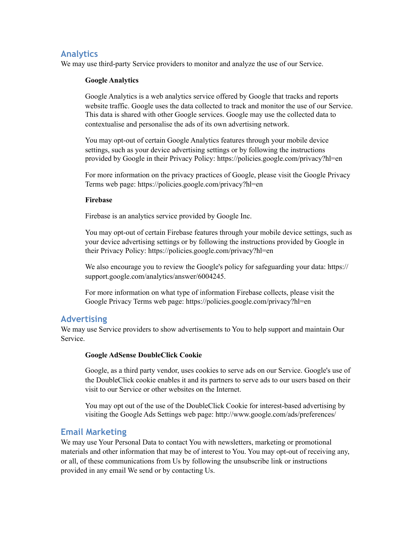### **Analytics**

We may use third-party Service providers to monitor and analyze the use of our Service.

#### **Google Analytics**

Google Analytics is a web analytics service offered by Google that tracks and reports website traffic. Google uses the data collected to track and monitor the use of our Service. This data is shared with other Google services. Google may use the collected data to contextualise and personalise the ads of its own advertising network.

You may opt-out of certain Google Analytics features through your mobile device settings, such as your device advertising settings or by following the instructions provided by Google in their Privacy Policy:<https://policies.google.com/privacy?hl=en>

For more information on the privacy practices of Google, please visit the Google Privacy Terms web page: <https://policies.google.com/privacy?hl=en>

#### **Firebase**

Firebase is an analytics service provided by Google Inc.

You may opt-out of certain Firebase features through your mobile device settings, such as your device advertising settings or by following the instructions provided by Google in their Privacy Policy:<https://policies.google.com/privacy?hl=en>

We also encourage you to review the Google's policy for safeguarding your data: [https://](https://support.google.com/analytics/answer/6004245) [support.google.com/analytics/answer/6004245](https://support.google.com/analytics/answer/6004245).

For more information on what type of information Firebase collects, please visit the Google Privacy Terms web page:<https://policies.google.com/privacy?hl=en>

### **Advertising**

We may use Service providers to show advertisements to You to help support and maintain Our Service.

#### **Google AdSense DoubleClick Cookie**

Google, as a third party vendor, uses cookies to serve ads on our Service. Google's use of the DoubleClick cookie enables it and its partners to serve ads to our users based on their visit to our Service or other websites on the Internet.

You may opt out of the use of the DoubleClick Cookie for interest-based advertising by visiting the Google Ads Settings web page: <http://www.google.com/ads/preferences/>

### **Email Marketing**

We may use Your Personal Data to contact You with newsletters, marketing or promotional materials and other information that may be of interest to You. You may opt-out of receiving any, or all, of these communications from Us by following the unsubscribe link or instructions provided in any email We send or by contacting Us.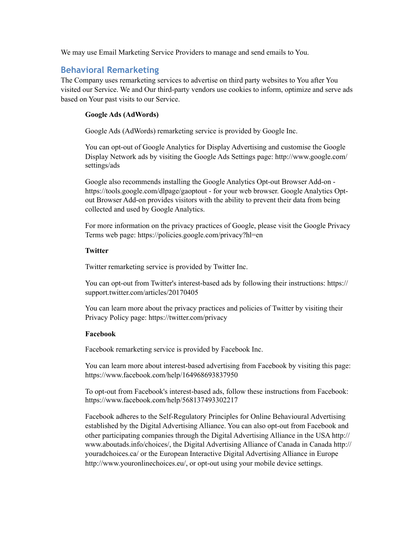We may use Email Marketing Service Providers to manage and send emails to You.

### **Behavioral Remarketing**

The Company uses remarketing services to advertise on third party websites to You after You visited our Service. We and Our third-party vendors use cookies to inform, optimize and serve ads based on Your past visits to our Service.

#### **Google Ads (AdWords)**

Google Ads (AdWords) remarketing service is provided by Google Inc.

You can opt-out of Google Analytics for Display Advertising and customise the Google Display Network ads by visiting the Google Ads Settings page: [http://www.google.com/](http://www.google.com/settings/ads) [settings/ads](http://www.google.com/settings/ads)

Google also recommends installing the Google Analytics Opt-out Browser Add-on <https://tools.google.com/dlpage/gaoptout> - for your web browser. Google Analytics Optout Browser Add-on provides visitors with the ability to prevent their data from being collected and used by Google Analytics.

For more information on the privacy practices of Google, please visit the Google Privacy Terms web page: <https://policies.google.com/privacy?hl=en>

#### **Twitter**

Twitter remarketing service is provided by Twitter Inc.

You can opt-out from Twitter's interest-based ads by following their instructions: [https://](https://support.twitter.com/articles/20170405) [support.twitter.com/articles/20170405](https://support.twitter.com/articles/20170405)

You can learn more about the privacy practices and policies of Twitter by visiting their Privacy Policy page: <https://twitter.com/privacy>

#### **Facebook**

Facebook remarketing service is provided by Facebook Inc.

You can learn more about interest-based advertising from Facebook by visiting this page: <https://www.facebook.com/help/164968693837950>

To opt-out from Facebook's interest-based ads, follow these instructions from Facebook: <https://www.facebook.com/help/568137493302217>

Facebook adheres to the Self-Regulatory Principles for Online Behavioural Advertising established by the Digital Advertising Alliance. You can also opt-out from Facebook and other participating companies through the Digital Advertising Alliance in the USA [http://](http://www.aboutads.info/choices/) [www.aboutads.info/choices/,](http://www.aboutads.info/choices/) the Digital Advertising Alliance of Canada in Canada [http://](http://youradchoices.ca/) [youradchoices.ca/](http://youradchoices.ca/) or the European Interactive Digital Advertising Alliance in Europe [http://www.youronlinechoices.eu/,](http://www.youronlinechoices.eu/) or opt-out using your mobile device settings.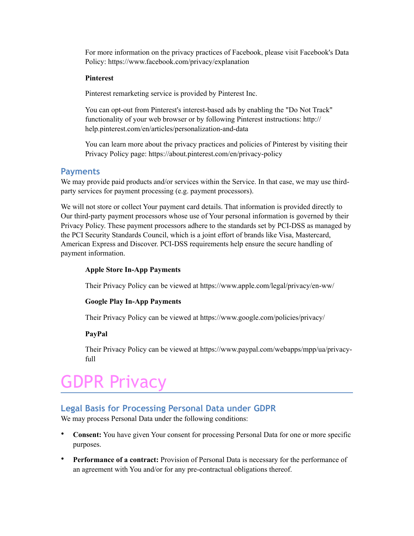For more information on the privacy practices of Facebook, please visit Facebook's Data Policy: <https://www.facebook.com/privacy/explanation>

#### **Pinterest**

Pinterest remarketing service is provided by Pinterest Inc.

You can opt-out from Pinterest's interest-based ads by enabling the "Do Not Track" functionality of your web browser or by following Pinterest instructions: [http://](http://help.pinterest.com/en/articles/personalization-and-data) [help.pinterest.com/en/articles/personalization-and-data](http://help.pinterest.com/en/articles/personalization-and-data)

You can learn more about the privacy practices and policies of Pinterest by visiting their Privacy Policy page: <https://about.pinterest.com/en/privacy-policy>

### **Payments**

We may provide paid products and/or services within the Service. In that case, we may use thirdparty services for payment processing (e.g. payment processors).

We will not store or collect Your payment card details. That information is provided directly to Our third-party payment processors whose use of Your personal information is governed by their Privacy Policy. These payment processors adhere to the standards set by PCI-DSS as managed by the PCI Security Standards Council, which is a joint effort of brands like Visa, Mastercard, American Express and Discover. PCI-DSS requirements help ensure the secure handling of payment information.

#### **Apple Store In-App Payments**

Their Privacy Policy can be viewed at<https://www.apple.com/legal/privacy/en-ww/>

#### **Google Play In-App Payments**

Their Privacy Policy can be viewed at<https://www.google.com/policies/privacy/>

#### **PayPal**

Their Privacy Policy can be viewed at [https://www.paypal.com/webapps/mpp/ua/privacy](https://www.paypal.com/webapps/mpp/ua/privacy-full)[full](https://www.paypal.com/webapps/mpp/ua/privacy-full)

# GDPR Privacy

## **Legal Basis for Processing Personal Data under GDPR**

We may process Personal Data under the following conditions:

- **Consent:** You have given Your consent for processing Personal Data for one or more specific purposes.
- **Performance of a contract:** Provision of Personal Data is necessary for the performance of an agreement with You and/or for any pre-contractual obligations thereof.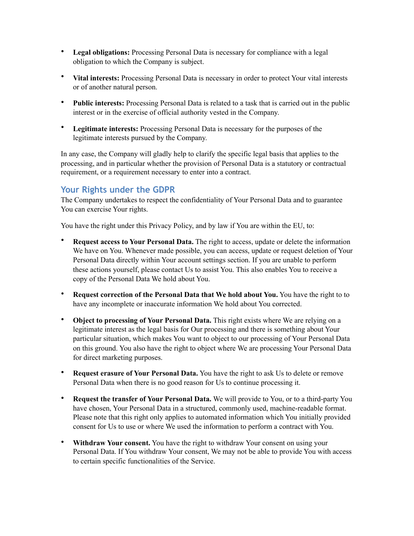- **Legal obligations:** Processing Personal Data is necessary for compliance with a legal obligation to which the Company is subject.
- **Vital interests:** Processing Personal Data is necessary in order to protect Your vital interests or of another natural person.
- **Public interests:** Processing Personal Data is related to a task that is carried out in the public interest or in the exercise of official authority vested in the Company.
- **Legitimate interests:** Processing Personal Data is necessary for the purposes of the legitimate interests pursued by the Company.

In any case, the Company will gladly help to clarify the specific legal basis that applies to the processing, and in particular whether the provision of Personal Data is a statutory or contractual requirement, or a requirement necessary to enter into a contract.

## **Your Rights under the GDPR**

The Company undertakes to respect the confidentiality of Your Personal Data and to guarantee You can exercise Your rights.

You have the right under this Privacy Policy, and by law if You are within the EU, to:

- **Request access to Your Personal Data.** The right to access, update or delete the information We have on You. Whenever made possible, you can access, update or request deletion of Your Personal Data directly within Your account settings section. If you are unable to perform these actions yourself, please contact Us to assist You. This also enables You to receive a copy of the Personal Data We hold about You.
- **Request correction of the Personal Data that We hold about You.** You have the right to to have any incomplete or inaccurate information We hold about You corrected.
- **Object to processing of Your Personal Data.** This right exists where We are relying on a legitimate interest as the legal basis for Our processing and there is something about Your particular situation, which makes You want to object to our processing of Your Personal Data on this ground. You also have the right to object where We are processing Your Personal Data for direct marketing purposes.
- **Request erasure of Your Personal Data.** You have the right to ask Us to delete or remove Personal Data when there is no good reason for Us to continue processing it.
- **Request the transfer of Your Personal Data.** We will provide to You, or to a third-party You have chosen, Your Personal Data in a structured, commonly used, machine-readable format. Please note that this right only applies to automated information which You initially provided consent for Us to use or where We used the information to perform a contract with You.
- **Withdraw Your consent.** You have the right to withdraw Your consent on using your Personal Data. If You withdraw Your consent, We may not be able to provide You with access to certain specific functionalities of the Service.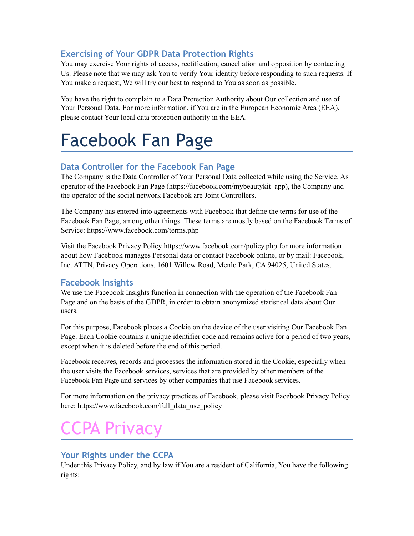## **Exercising of Your GDPR Data Protection Rights**

You may exercise Your rights of access, rectification, cancellation and opposition by contacting Us. Please note that we may ask You to verify Your identity before responding to such requests. If You make a request, We will try our best to respond to You as soon as possible.

You have the right to complain to a Data Protection Authority about Our collection and use of Your Personal Data. For more information, if You are in the European Economic Area (EEA), please contact Your local data protection authority in the EEA.

## Facebook Fan Page

## **Data Controller for the Facebook Fan Page**

The Company is the Data Controller of Your Personal Data collected while using the Service. As operator of the Facebook Fan Page (https://facebook.com/mybeautykit\_app), the Company and the operator of the social network Facebook are Joint Controllers.

The Company has entered into agreements with Facebook that define the terms for use of the Facebook Fan Page, among other things. These terms are mostly based on the Facebook Terms of Service: <https://www.facebook.com/terms.php>

Visit the Facebook Privacy Policy<https://www.facebook.com/policy.php>for more information about how Facebook manages Personal data or contact Facebook online, or by mail: Facebook, Inc. ATTN, Privacy Operations, 1601 Willow Road, Menlo Park, CA 94025, United States.

## **Facebook Insights**

We use the Facebook Insights function in connection with the operation of the Facebook Fan Page and on the basis of the GDPR, in order to obtain anonymized statistical data about Our users.

For this purpose, Facebook places a Cookie on the device of the user visiting Our Facebook Fan Page. Each Cookie contains a unique identifier code and remains active for a period of two years, except when it is deleted before the end of this period.

Facebook receives, records and processes the information stored in the Cookie, especially when the user visits the Facebook services, services that are provided by other members of the Facebook Fan Page and services by other companies that use Facebook services.

For more information on the privacy practices of Facebook, please visit Facebook Privacy Policy here: [https://www.facebook.com/full\\_data\\_use\\_policy](https://www.facebook.com/full_data_use_policy)

## **CPA Privacy**

## **Your Rights under the CCPA**

Under this Privacy Policy, and by law if You are a resident of California, You have the following rights: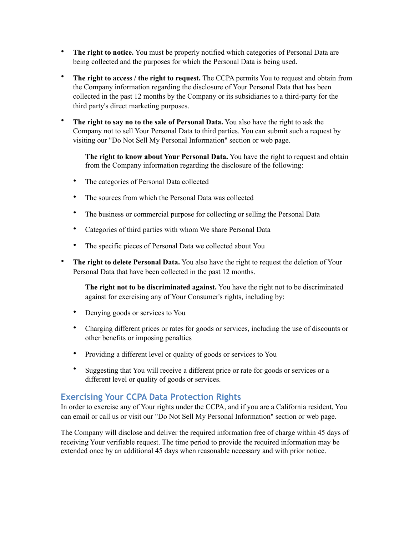- **The right to notice.** You must be properly notified which categories of Personal Data are being collected and the purposes for which the Personal Data is being used.
- **The right to access / the right to request.** The CCPA permits You to request and obtain from the Company information regarding the disclosure of Your Personal Data that has been collected in the past 12 months by the Company or its subsidiaries to a third-party for the third party's direct marketing purposes.
- **The right to say no to the sale of Personal Data.** You also have the right to ask the Company not to sell Your Personal Data to third parties. You can submit such a request by visiting our "Do Not Sell My Personal Information" section or web page.

**The right to know about Your Personal Data.** You have the right to request and obtain from the Company information regarding the disclosure of the following:

- The categories of Personal Data collected
- The sources from which the Personal Data was collected
- The business or commercial purpose for collecting or selling the Personal Data
- Categories of third parties with whom We share Personal Data
- The specific pieces of Personal Data we collected about You
- **The right to delete Personal Data.** You also have the right to request the deletion of Your Personal Data that have been collected in the past 12 months.

**The right not to be discriminated against.** You have the right not to be discriminated against for exercising any of Your Consumer's rights, including by:

- Denying goods or services to You
- Charging different prices or rates for goods or services, including the use of discounts or other benefits or imposing penalties
- Providing a different level or quality of goods or services to You
- Suggesting that You will receive a different price or rate for goods or services or a different level or quality of goods or services.

## **Exercising Your CCPA Data Protection Rights**

In order to exercise any of Your rights under the CCPA, and if you are a California resident, You can email or call us or visit our "Do Not Sell My Personal Information" section or web page.

The Company will disclose and deliver the required information free of charge within 45 days of receiving Your verifiable request. The time period to provide the required information may be extended once by an additional 45 days when reasonable necessary and with prior notice.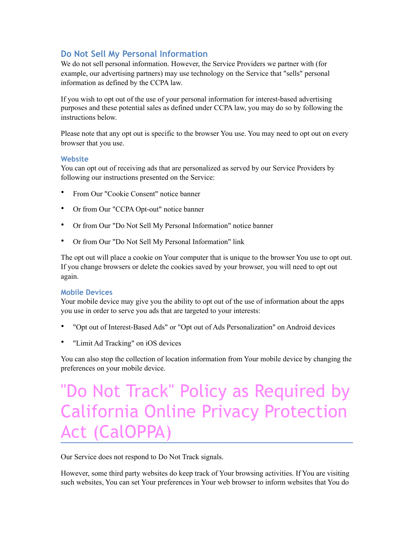## **Do Not Sell My Personal Information**

We do not sell personal information. However, the Service Providers we partner with (for example, our advertising partners) may use technology on the Service that "sells" personal information as defined by the CCPA law.

If you wish to opt out of the use of your personal information for interest-based advertising purposes and these potential sales as defined under CCPA law, you may do so by following the instructions below.

Please note that any opt out is specific to the browser You use. You may need to opt out on every browser that you use.

#### **Website**

You can opt out of receiving ads that are personalized as served by our Service Providers by following our instructions presented on the Service:

- From Our "Cookie Consent" notice banner
- Or from Our "CCPA Opt-out" notice banner
- Or from Our "Do Not Sell My Personal Information" notice banner
- Or from Our "Do Not Sell My Personal Information" link

The opt out will place a cookie on Your computer that is unique to the browser You use to opt out. If you change browsers or delete the cookies saved by your browser, you will need to opt out again.

#### **Mobile Devices**

Your mobile device may give you the ability to opt out of the use of information about the apps you use in order to serve you ads that are targeted to your interests:

- "Opt out of Interest-Based Ads" or "Opt out of Ads Personalization" on Android devices
- "Limit Ad Tracking" on iOS devices

You can also stop the collection of location information from Your mobile device by changing the preferences on your mobile device.

## "Do Not Track" Policy as Required by California Online Privacy Protection Act (CalOPPA)

Our Service does not respond to Do Not Track signals.

However, some third party websites do keep track of Your browsing activities. If You are visiting such websites, You can set Your preferences in Your web browser to inform websites that You do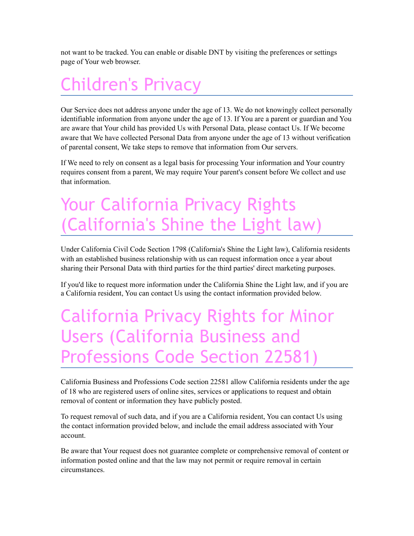not want to be tracked. You can enable or disable DNT by visiting the preferences or settings page of Your web browser.

# Children's Privacy

Our Service does not address anyone under the age of 13. We do not knowingly collect personally identifiable information from anyone under the age of 13. If You are a parent or guardian and You are aware that Your child has provided Us with Personal Data, please contact Us. If We become aware that We have collected Personal Data from anyone under the age of 13 without verification of parental consent, We take steps to remove that information from Our servers.

If We need to rely on consent as a legal basis for processing Your information and Your country requires consent from a parent, We may require Your parent's consent before We collect and use that information.

## Your California Privacy Rights (California's Shine the Light law)

Under California Civil Code Section 1798 (California's Shine the Light law), California residents with an established business relationship with us can request information once a year about sharing their Personal Data with third parties for the third parties' direct marketing purposes.

If you'd like to request more information under the California Shine the Light law, and if you are a California resident, You can contact Us using the contact information provided below.

## California Privacy Rights for Minor Users (California Business and Professions Code Section 22581)

California Business and Professions Code section 22581 allow California residents under the age of 18 who are registered users of online sites, services or applications to request and obtain removal of content or information they have publicly posted.

To request removal of such data, and if you are a California resident, You can contact Us using the contact information provided below, and include the email address associated with Your account.

Be aware that Your request does not guarantee complete or comprehensive removal of content or information posted online and that the law may not permit or require removal in certain circumstances.